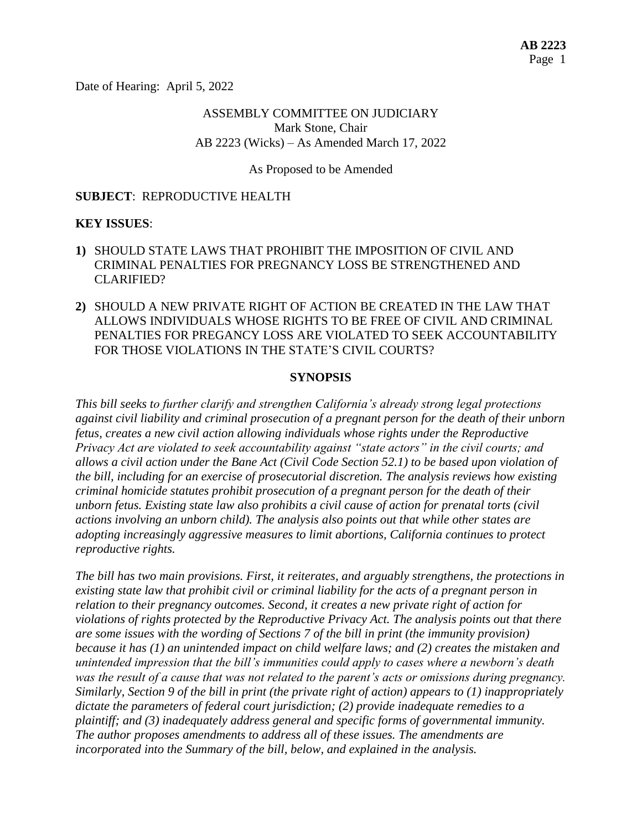Date of Hearing: April 5, 2022

## ASSEMBLY COMMITTEE ON JUDICIARY Mark Stone, Chair AB 2223 (Wicks) – As Amended March 17, 2022

### As Proposed to be Amended

### **SUBJECT**: REPRODUCTIVE HEALTH

### **KEY ISSUES**:

- **1)** SHOULD STATE LAWS THAT PROHIBIT THE IMPOSITION OF CIVIL AND CRIMINAL PENALTIES FOR PREGNANCY LOSS BE STRENGTHENED AND CLARIFIED?
- **2)** SHOULD A NEW PRIVATE RIGHT OF ACTION BE CREATED IN THE LAW THAT ALLOWS INDIVIDUALS WHOSE RIGHTS TO BE FREE OF CIVIL AND CRIMINAL PENALTIES FOR PREGANCY LOSS ARE VIOLATED TO SEEK ACCOUNTABILITY FOR THOSE VIOLATIONS IN THE STATE'S CIVIL COURTS?

#### **SYNOPSIS**

*This bill seeks to further clarify and strengthen California's already strong legal protections against civil liability and criminal prosecution of a pregnant person for the death of their unborn fetus, creates a new civil action allowing individuals whose rights under the Reproductive Privacy Act are violated to seek accountability against "state actors" in the civil courts; and allows a civil action under the Bane Act (Civil Code Section 52.1) to be based upon violation of the bill, including for an exercise of prosecutorial discretion. The analysis reviews how existing criminal homicide statutes prohibit prosecution of a pregnant person for the death of their unborn fetus. Existing state law also prohibits a civil cause of action for prenatal torts (civil actions involving an unborn child). The analysis also points out that while other states are adopting increasingly aggressive measures to limit abortions, California continues to protect reproductive rights.* 

*The bill has two main provisions. First, it reiterates, and arguably strengthens, the protections in existing state law that prohibit civil or criminal liability for the acts of a pregnant person in relation to their pregnancy outcomes. Second, it creates a new private right of action for violations of rights protected by the Reproductive Privacy Act. The analysis points out that there are some issues with the wording of Sections 7 of the bill in print (the immunity provision) because it has (1) an unintended impact on child welfare laws; and (2) creates the mistaken and unintended impression that the bill's immunities could apply to cases where a newborn's death was the result of a cause that was not related to the parent's acts or omissions during pregnancy. Similarly, Section 9 of the bill in print (the private right of action) appears to (1) inappropriately dictate the parameters of federal court jurisdiction; (2) provide inadequate remedies to a plaintiff; and (3) inadequately address general and specific forms of governmental immunity. The author proposes amendments to address all of these issues. The amendments are incorporated into the Summary of the bill, below, and explained in the analysis.*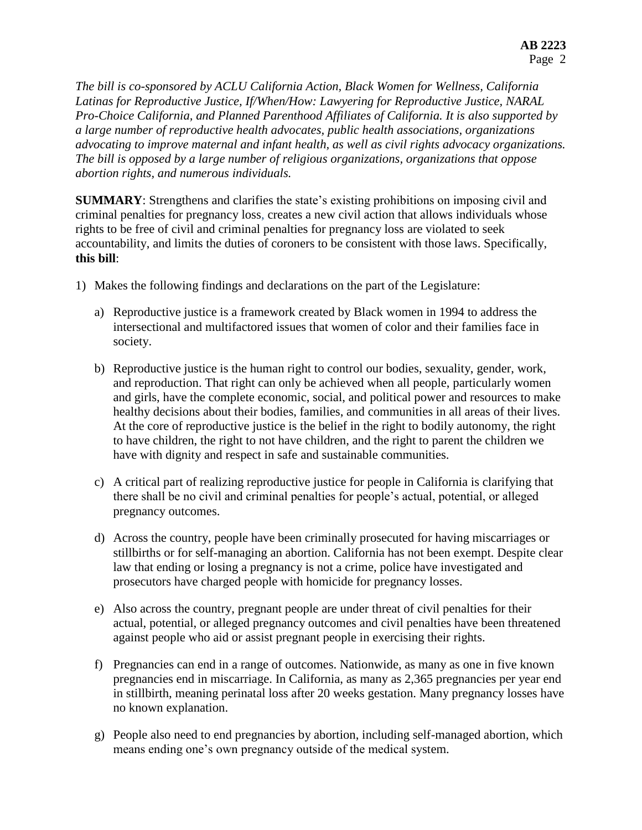*The bill is co-sponsored by ACLU California Action, Black Women for Wellness, California Latinas for Reproductive Justice, If/When/How: Lawyering for Reproductive Justice, NARAL Pro-Choice California, and Planned Parenthood Affiliates of California. It is also supported by a large number of reproductive health advocates, public health associations, organizations advocating to improve maternal and infant health, as well as civil rights advocacy organizations. The bill is opposed by a large number of religious organizations, organizations that oppose abortion rights, and numerous individuals.*

**SUMMARY**: Strengthens and clarifies the state's existing prohibitions on imposing civil and criminal penalties for pregnancy loss, creates a new civil action that allows individuals whose rights to be free of civil and criminal penalties for pregnancy loss are violated to seek accountability, and limits the duties of coroners to be consistent with those laws. Specifically, **this bill**:

- 1) Makes the following findings and declarations on the part of the Legislature:
	- a) Reproductive justice is a framework created by Black women in 1994 to address the intersectional and multifactored issues that women of color and their families face in society.
	- b) Reproductive justice is the human right to control our bodies, sexuality, gender, work, and reproduction. That right can only be achieved when all people, particularly women and girls, have the complete economic, social, and political power and resources to make healthy decisions about their bodies, families, and communities in all areas of their lives. At the core of reproductive justice is the belief in the right to bodily autonomy, the right to have children, the right to not have children, and the right to parent the children we have with dignity and respect in safe and sustainable communities.
	- c) A critical part of realizing reproductive justice for people in California is clarifying that there shall be no civil and criminal penalties for people's actual, potential, or alleged pregnancy outcomes.
	- d) Across the country, people have been criminally prosecuted for having miscarriages or stillbirths or for self-managing an abortion. California has not been exempt. Despite clear law that ending or losing a pregnancy is not a crime, police have investigated and prosecutors have charged people with homicide for pregnancy losses.
	- e) Also across the country, pregnant people are under threat of civil penalties for their actual, potential, or alleged pregnancy outcomes and civil penalties have been threatened against people who aid or assist pregnant people in exercising their rights.
	- f) Pregnancies can end in a range of outcomes. Nationwide, as many as one in five known pregnancies end in miscarriage. In California, as many as 2,365 pregnancies per year end in stillbirth, meaning perinatal loss after 20 weeks gestation. Many pregnancy losses have no known explanation.
	- g) People also need to end pregnancies by abortion, including self-managed abortion, which means ending one's own pregnancy outside of the medical system.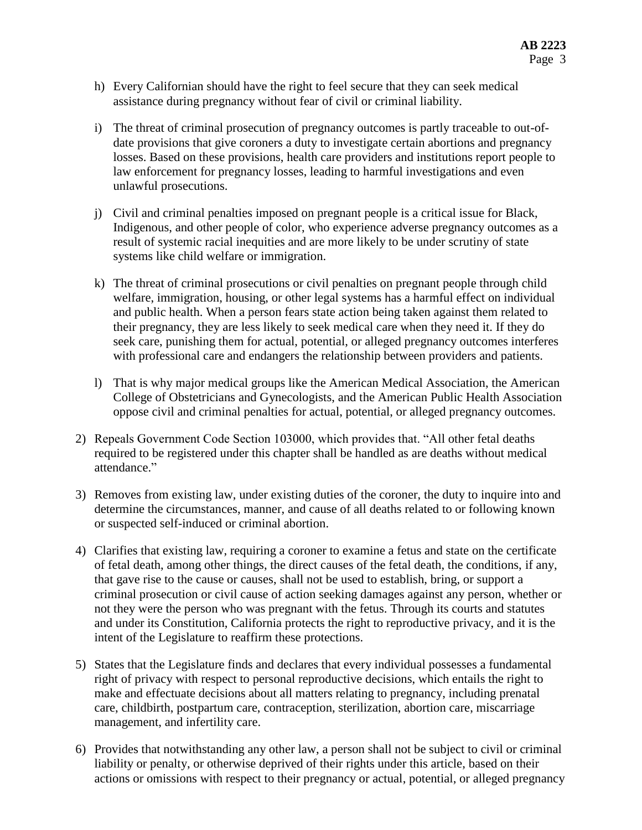- h) Every Californian should have the right to feel secure that they can seek medical assistance during pregnancy without fear of civil or criminal liability.
- i) The threat of criminal prosecution of pregnancy outcomes is partly traceable to out-ofdate provisions that give coroners a duty to investigate certain abortions and pregnancy losses. Based on these provisions, health care providers and institutions report people to law enforcement for pregnancy losses, leading to harmful investigations and even unlawful prosecutions.
- j) Civil and criminal penalties imposed on pregnant people is a critical issue for Black, Indigenous, and other people of color, who experience adverse pregnancy outcomes as a result of systemic racial inequities and are more likely to be under scrutiny of state systems like child welfare or immigration.
- k) The threat of criminal prosecutions or civil penalties on pregnant people through child welfare, immigration, housing, or other legal systems has a harmful effect on individual and public health. When a person fears state action being taken against them related to their pregnancy, they are less likely to seek medical care when they need it. If they do seek care, punishing them for actual, potential, or alleged pregnancy outcomes interferes with professional care and endangers the relationship between providers and patients.
- l) That is why major medical groups like the American Medical Association, the American College of Obstetricians and Gynecologists, and the American Public Health Association oppose civil and criminal penalties for actual, potential, or alleged pregnancy outcomes.
- 2) Repeals Government Code Section 103000, which provides that. "All other fetal deaths required to be registered under this chapter shall be handled as are deaths without medical attendance."
- 3) Removes from existing law, under existing duties of the coroner, the duty to inquire into and determine the circumstances, manner, and cause of all deaths related to or following known or suspected self-induced or criminal abortion.
- 4) Clarifies that existing law, requiring a coroner to examine a fetus and state on the certificate of fetal death, among other things, the direct causes of the fetal death, the conditions, if any, that gave rise to the cause or causes, shall not be used to establish, bring, or support a criminal prosecution or civil cause of action seeking damages against any person, whether or not they were the person who was pregnant with the fetus. Through its courts and statutes and under its Constitution, California protects the right to reproductive privacy, and it is the intent of the Legislature to reaffirm these protections.
- 5) States that the Legislature finds and declares that every individual possesses a fundamental right of privacy with respect to personal reproductive decisions, which entails the right to make and effectuate decisions about all matters relating to pregnancy, including prenatal care, childbirth, postpartum care, contraception, sterilization, abortion care, miscarriage management, and infertility care.
- 6) Provides that notwithstanding any other law, a person shall not be subject to civil or criminal liability or penalty, or otherwise deprived of their rights under this article, based on their actions or omissions with respect to their pregnancy or actual, potential, or alleged pregnancy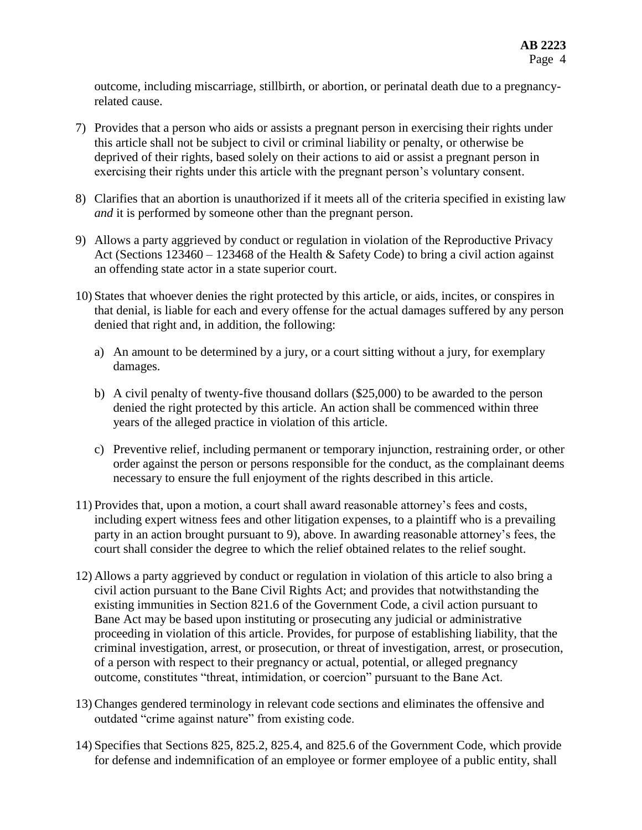outcome, including miscarriage, stillbirth, or abortion, or perinatal death due to a pregnancyrelated cause.

- 7) Provides that a person who aids or assists a pregnant person in exercising their rights under this article shall not be subject to civil or criminal liability or penalty, or otherwise be deprived of their rights, based solely on their actions to aid or assist a pregnant person in exercising their rights under this article with the pregnant person's voluntary consent.
- 8) Clarifies that an abortion is unauthorized if it meets all of the criteria specified in existing law *and* it is performed by someone other than the pregnant person.
- 9) Allows a party aggrieved by conduct or regulation in violation of the Reproductive Privacy Act (Sections  $123460 - 123468$  of the Health & Safety Code) to bring a civil action against an offending state actor in a state superior court.
- 10) States that whoever denies the right protected by this article, or aids, incites, or conspires in that denial, is liable for each and every offense for the actual damages suffered by any person denied that right and, in addition, the following:
	- a) An amount to be determined by a jury, or a court sitting without a jury, for exemplary damages.
	- b) A civil penalty of twenty-five thousand dollars (\$25,000) to be awarded to the person denied the right protected by this article. An action shall be commenced within three years of the alleged practice in violation of this article.
	- c) Preventive relief, including permanent or temporary injunction, restraining order, or other order against the person or persons responsible for the conduct, as the complainant deems necessary to ensure the full enjoyment of the rights described in this article.
- 11) Provides that, upon a motion, a court shall award reasonable attorney's fees and costs, including expert witness fees and other litigation expenses, to a plaintiff who is a prevailing party in an action brought pursuant to 9), above. In awarding reasonable attorney's fees, the court shall consider the degree to which the relief obtained relates to the relief sought.
- 12) Allows a party aggrieved by conduct or regulation in violation of this article to also bring a civil action pursuant to the Bane Civil Rights Act; and provides that notwithstanding the existing immunities in Section 821.6 of the Government Code, a civil action pursuant to Bane Act may be based upon instituting or prosecuting any judicial or administrative proceeding in violation of this article. Provides, for purpose of establishing liability, that the criminal investigation, arrest, or prosecution, or threat of investigation, arrest, or prosecution, of a person with respect to their pregnancy or actual, potential, or alleged pregnancy outcome, constitutes "threat, intimidation, or coercion" pursuant to the Bane Act.
- 13) Changes gendered terminology in relevant code sections and eliminates the offensive and outdated "crime against nature" from existing code.
- 14) Specifies that Sections 825, 825.2, 825.4, and 825.6 of the Government Code, which provide for defense and indemnification of an employee or former employee of a public entity, shall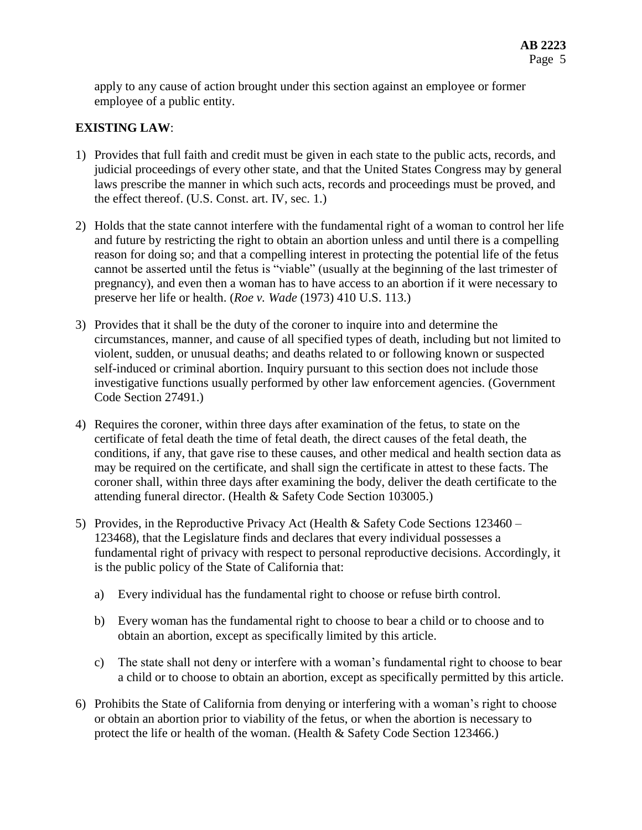apply to any cause of action brought under this section against an employee or former employee of a public entity.

## **EXISTING LAW**:

- 1) Provides that full faith and credit must be given in each state to the public acts, records, and judicial proceedings of every other state, and that the United States Congress may by general laws prescribe the manner in which such acts, records and proceedings must be proved, and the effect thereof. (U.S. Const. art. IV, sec. 1.)
- 2) Holds that the state cannot interfere with the fundamental right of a woman to control her life and future by restricting the right to obtain an abortion unless and until there is a compelling reason for doing so; and that a compelling interest in protecting the potential life of the fetus cannot be asserted until the fetus is "viable" (usually at the beginning of the last trimester of pregnancy), and even then a woman has to have access to an abortion if it were necessary to preserve her life or health. (*Roe v. Wade* (1973) 410 U.S. 113.)
- 3) Provides that it shall be the duty of the coroner to inquire into and determine the circumstances, manner, and cause of all specified types of death, including but not limited to violent, sudden, or unusual deaths; and deaths related to or following known or suspected self-induced or criminal abortion. Inquiry pursuant to this section does not include those investigative functions usually performed by other law enforcement agencies. (Government Code Section 27491.)
- 4) Requires the coroner, within three days after examination of the fetus, to state on the certificate of fetal death the time of fetal death, the direct causes of the fetal death, the conditions, if any, that gave rise to these causes, and other medical and health section data as may be required on the certificate, and shall sign the certificate in attest to these facts. The coroner shall, within three days after examining the body, deliver the death certificate to the attending funeral director. (Health & Safety Code Section 103005.)
- 5) Provides, in the Reproductive Privacy Act (Health & Safety Code Sections 123460 123468), that the Legislature finds and declares that every individual possesses a fundamental right of privacy with respect to personal reproductive decisions. Accordingly, it is the public policy of the State of California that:
	- a) Every individual has the fundamental right to choose or refuse birth control.
	- b) Every woman has the fundamental right to choose to bear a child or to choose and to obtain an abortion, except as specifically limited by this article.
	- c) The state shall not deny or interfere with a woman's fundamental right to choose to bear a child or to choose to obtain an abortion, except as specifically permitted by this article.
- 6) Prohibits the State of California from denying or interfering with a woman's right to choose or obtain an abortion prior to viability of the fetus, or when the abortion is necessary to protect the life or health of the woman. (Health & Safety Code Section 123466.)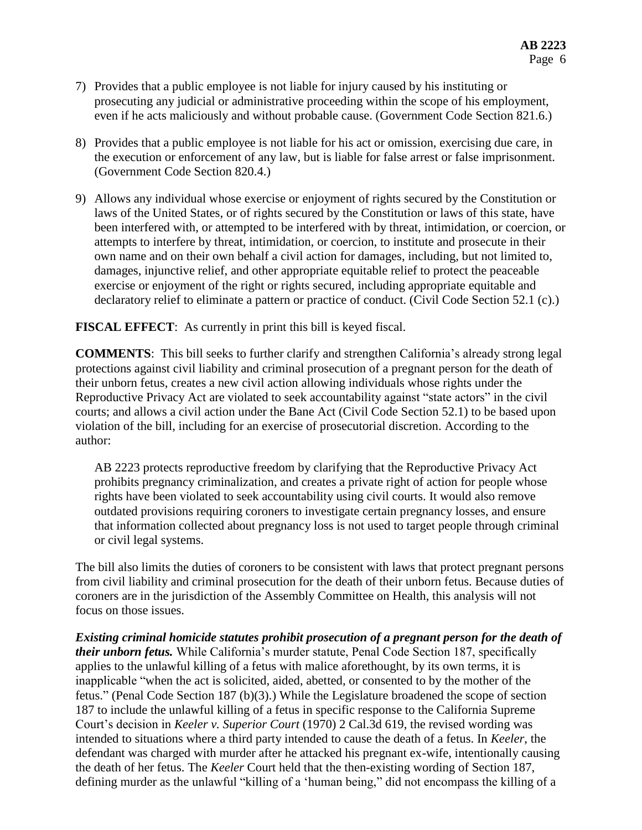- 7) Provides that a public employee is not liable for injury caused by his instituting or prosecuting any judicial or administrative proceeding within the scope of his employment, even if he acts maliciously and without probable cause. (Government Code Section 821.6.)
- 8) Provides that a public employee is not liable for his act or omission, exercising due care, in the execution or enforcement of any law, but is liable for false arrest or false imprisonment. (Government Code Section 820.4.)
- 9) Allows any individual whose exercise or enjoyment of rights secured by the Constitution or laws of the United States, or of rights secured by the Constitution or laws of this state, have been interfered with, or attempted to be interfered with by threat, intimidation, or coercion, or attempts to interfere by threat, intimidation, or coercion, to institute and prosecute in their own name and on their own behalf a civil action for damages, including, but not limited to, damages, injunctive relief, and other appropriate equitable relief to protect the peaceable exercise or enjoyment of the right or rights secured, including appropriate equitable and declaratory relief to eliminate a pattern or practice of conduct. (Civil Code Section 52.1 (c).)

**FISCAL EFFECT**: As currently in print this bill is keyed fiscal.

**COMMENTS**: This bill seeks to further clarify and strengthen California's already strong legal protections against civil liability and criminal prosecution of a pregnant person for the death of their unborn fetus, creates a new civil action allowing individuals whose rights under the Reproductive Privacy Act are violated to seek accountability against "state actors" in the civil courts; and allows a civil action under the Bane Act (Civil Code Section 52.1) to be based upon violation of the bill, including for an exercise of prosecutorial discretion. According to the author:

AB 2223 protects reproductive freedom by clarifying that the Reproductive Privacy Act prohibits pregnancy criminalization, and creates a private right of action for people whose rights have been violated to seek accountability using civil courts. It would also remove outdated provisions requiring coroners to investigate certain pregnancy losses, and ensure that information collected about pregnancy loss is not used to target people through criminal or civil legal systems.

The bill also limits the duties of coroners to be consistent with laws that protect pregnant persons from civil liability and criminal prosecution for the death of their unborn fetus. Because duties of coroners are in the jurisdiction of the Assembly Committee on Health, this analysis will not focus on those issues.

*Existing criminal homicide statutes prohibit prosecution of a pregnant person for the death of their unborn fetus.* While California's murder statute, Penal Code Section 187, specifically applies to the unlawful killing of a fetus with malice aforethought, by its own terms, it is inapplicable "when the act is solicited, aided, abetted, or consented to by the mother of the fetus." (Penal Code Section 187 (b)(3).) While the Legislature broadened the scope of section 187 to include the unlawful killing of a fetus in specific response to the California Supreme Court's decision in *Keeler v. Superior Court* (1970) 2 Cal.3d 619, the revised wording was intended to situations where a third party intended to cause the death of a fetus. In *Keeler*, the defendant was charged with murder after he attacked his pregnant ex-wife, intentionally causing the death of her fetus. The *Keeler* Court held that the then-existing wording of Section 187, defining murder as the unlawful "killing of a 'human being," did not encompass the killing of a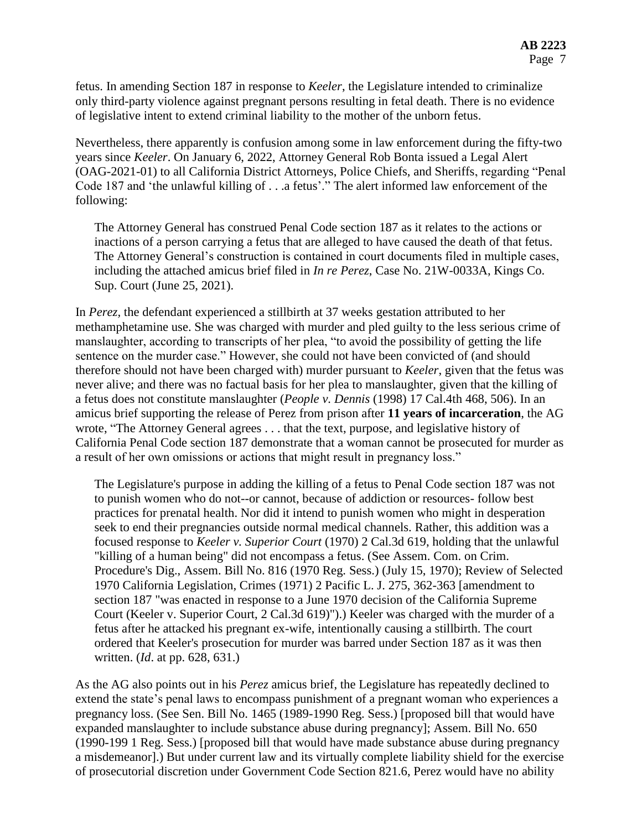fetus. In amending Section 187 in response to *Keeler*, the Legislature intended to criminalize only third-party violence against pregnant persons resulting in fetal death. There is no evidence of legislative intent to extend criminal liability to the mother of the unborn fetus.

Nevertheless, there apparently is confusion among some in law enforcement during the fifty-two years since *Keeler*. On January 6, 2022, Attorney General Rob Bonta issued a Legal Alert (OAG-2021-01) to all California District Attorneys, Police Chiefs, and Sheriffs, regarding "Penal Code 187 and 'the unlawful killing of . . .a fetus'." The alert informed law enforcement of the following:

The Attorney General has construed Penal Code section 187 as it relates to the actions or inactions of a person carrying a fetus that are alleged to have caused the death of that fetus. The Attorney General's construction is contained in court documents filed in multiple cases, including the attached amicus brief filed in *In re Perez*, Case No. 21W-0033A, Kings Co. Sup. Court (June 25, 2021).

In *Perez,* the defendant experienced a stillbirth at 37 weeks gestation attributed to her methamphetamine use. She was charged with murder and pled guilty to the less serious crime of manslaughter, according to transcripts of her plea, "to avoid the possibility of getting the life sentence on the murder case." However, she could not have been convicted of (and should therefore should not have been charged with) murder pursuant to *Keeler*, given that the fetus was never alive; and there was no factual basis for her plea to manslaughter, given that the killing of a fetus does not constitute manslaughter (*People v. Dennis* (1998) 17 Cal.4th 468, 506). In an amicus brief supporting the release of Perez from prison after **11 years of incarceration**, the AG wrote, "The Attorney General agrees . . . that the text, purpose, and legislative history of California Penal Code section 187 demonstrate that a woman cannot be prosecuted for murder as a result of her own omissions or actions that might result in pregnancy loss."

The Legislature's purpose in adding the killing of a fetus to Penal Code section 187 was not to punish women who do not--or cannot, because of addiction or resources- follow best practices for prenatal health. Nor did it intend to punish women who might in desperation seek to end their pregnancies outside normal medical channels. Rather, this addition was a focused response to *Keeler v. Superior Court* (1970) 2 Cal.3d 619, holding that the unlawful "killing of a human being" did not encompass a fetus. (See Assem. Com. on Crim. Procedure's Dig., Assem. Bill No. 816 (1970 Reg. Sess.) (July 15, 1970); Review of Selected 1970 California Legislation, Crimes (1971) 2 Pacific L. J. 275, 362-363 [amendment to section 187 "was enacted in response to a June 1970 decision of the California Supreme Court (Keeler v. Superior Court, 2 Cal.3d 619)").) Keeler was charged with the murder of a fetus after he attacked his pregnant ex-wife, intentionally causing a stillbirth. The court ordered that Keeler's prosecution for murder was barred under Section 187 as it was then written. (*Id*. at pp. 628, 631.)

As the AG also points out in his *Perez* amicus brief, the Legislature has repeatedly declined to extend the state's penal laws to encompass punishment of a pregnant woman who experiences a pregnancy loss. (See Sen. Bill No. 1465 (1989-1990 Reg. Sess.) [proposed bill that would have expanded manslaughter to include substance abuse during pregnancy]; Assem. Bill No. 650 (1990-199 1 Reg. Sess.) [proposed bill that would have made substance abuse during pregnancy a misdemeanor].) But under current law and its virtually complete liability shield for the exercise of prosecutorial discretion under Government Code Section 821.6, Perez would have no ability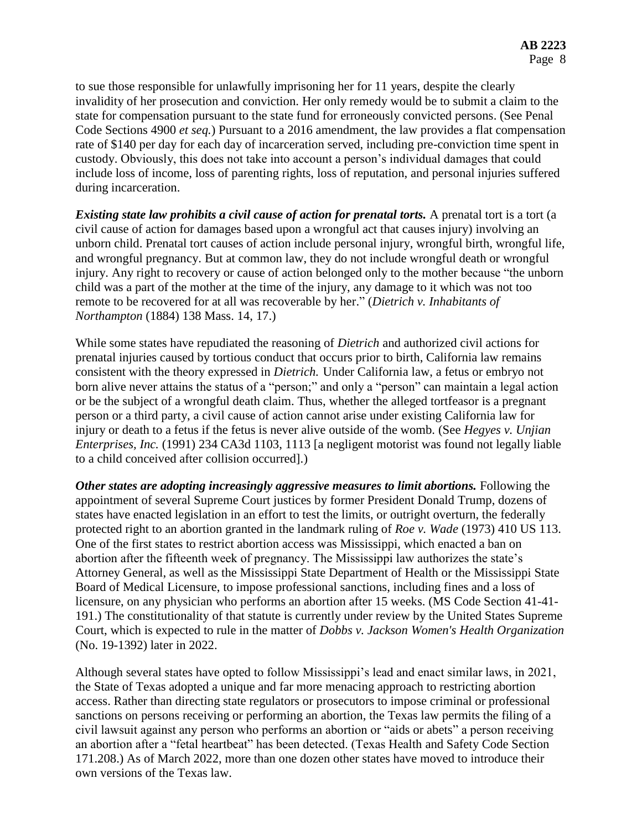to sue those responsible for unlawfully imprisoning her for 11 years, despite the clearly invalidity of her prosecution and conviction. Her only remedy would be to submit a claim to the state for compensation pursuant to the state fund for erroneously convicted persons. (See Penal Code Sections 4900 *et seq.*) Pursuant to a 2016 amendment, the law provides a flat compensation rate of \$140 per day for each day of incarceration served, including pre-conviction time spent in custody. Obviously, this does not take into account a person's individual damages that could include loss of income, loss of parenting rights, loss of reputation, and personal injuries suffered during incarceration.

*Existing state law prohibits a civil cause of action for prenatal torts.* A prenatal tort is a tort (a civil cause of action for damages based upon a wrongful act that causes injury) involving an unborn child. Prenatal tort causes of action include personal injury, wrongful birth, wrongful life, and wrongful pregnancy. But at common law, they do not include wrongful death or wrongful injury. Any right to recovery or cause of action belonged only to the mother because "the unborn child was a part of the mother at the time of the injury, any damage to it which was not too remote to be recovered for at all was recoverable by her." (*Dietrich v. Inhabitants of Northampton* (1884) 138 Mass. 14, 17.)

While some states have repudiated the reasoning of *Dietrich* and authorized civil actions for prenatal injuries caused by tortious conduct that occurs prior to birth, California law remains consistent with the theory expressed in *Dietrich.* Under California law, a fetus or embryo not born alive never attains the status of a "person;" and only a "person" can maintain a legal action or be the subject of a wrongful death claim. Thus, whether the alleged tortfeasor is a pregnant person or a third party, a civil cause of action cannot arise under existing California law for injury or death to a fetus if the fetus is never alive outside of the womb. (See *Hegyes v. Unjian Enterprises, Inc.* (1991) 234 CA3d 1103, 1113 [a negligent motorist was found not legally liable to a child conceived after collision occurred].)

*Other states are adopting increasingly aggressive measures to limit abortions.* Following the appointment of several Supreme Court justices by former President Donald Trump, dozens of states have enacted legislation in an effort to test the limits, or outright overturn, the federally protected right to an abortion granted in the landmark ruling of *Roe v. Wade* (1973) 410 US 113. One of the first states to restrict abortion access was Mississippi, which enacted a ban on abortion after the fifteenth week of pregnancy. The Mississippi law authorizes the state's Attorney General, as well as the Mississippi State Department of Health or the Mississippi State Board of Medical Licensure, to impose professional sanctions, including fines and a loss of licensure, on any physician who performs an abortion after 15 weeks. (MS Code Section 41-41- 191.) The constitutionality of that statute is currently under review by the United States Supreme Court, which is expected to rule in the matter of *Dobbs v. Jackson Women's Health Organization* (No. 19-1392) later in 2022.

Although several states have opted to follow Mississippi's lead and enact similar laws, in 2021, the State of Texas adopted a unique and far more menacing approach to restricting abortion access. Rather than directing state regulators or prosecutors to impose criminal or professional sanctions on persons receiving or performing an abortion, the Texas law permits the filing of a civil lawsuit against any person who performs an abortion or "aids or abets" a person receiving an abortion after a "fetal heartbeat" has been detected. (Texas Health and Safety Code Section 171.208.) As of March 2022, more than one dozen other states have moved to introduce their own versions of the Texas law.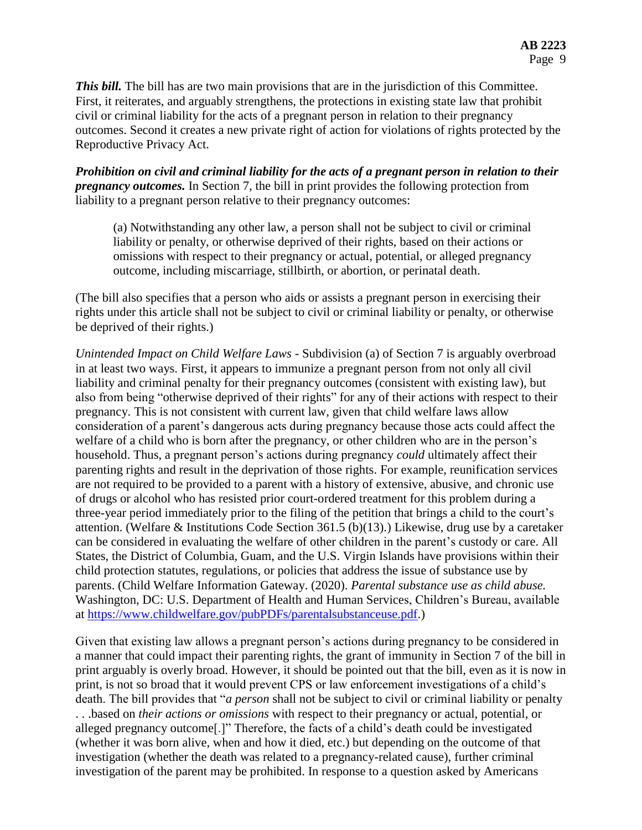**This bill.** The bill has are two main provisions that are in the jurisdiction of this Committee. First, it reiterates, and arguably strengthens, the protections in existing state law that prohibit civil or criminal liability for the acts of a pregnant person in relation to their pregnancy outcomes. Second it creates a new private right of action for violations of rights protected by the Reproductive Privacy Act.

*Prohibition on civil and criminal liability for the acts of a pregnant person in relation to their pregnancy outcomes.* In Section 7, the bill in print provides the following protection from liability to a pregnant person relative to their pregnancy outcomes:

(a) Notwithstanding any other law, a person shall not be subject to civil or criminal liability or penalty, or otherwise deprived of their rights, based on their actions or omissions with respect to their pregnancy or actual, potential, or alleged pregnancy outcome, including miscarriage, stillbirth, or abortion, or perinatal death.

(The bill also specifies that a person who aids or assists a pregnant person in exercising their rights under this article shall not be subject to civil or criminal liability or penalty, or otherwise be deprived of their rights.)

*Unintended Impact on Child Welfare Laws -* Subdivision (a) of Section 7 is arguably overbroad in at least two ways. First, it appears to immunize a pregnant person from not only all civil liability and criminal penalty for their pregnancy outcomes (consistent with existing law), but also from being "otherwise deprived of their rights" for any of their actions with respect to their pregnancy. This is not consistent with current law, given that child welfare laws allow consideration of a parent's dangerous acts during pregnancy because those acts could affect the welfare of a child who is born after the pregnancy, or other children who are in the person's household. Thus, a pregnant person's actions during pregnancy *could* ultimately affect their parenting rights and result in the deprivation of those rights. For example, reunification services are not required to be provided to a parent with a history of extensive, abusive, and chronic use of drugs or alcohol who has resisted prior court-ordered treatment for this problem during a three-year period immediately prior to the filing of the petition that brings a child to the court's attention. (Welfare & Institutions Code Section 361.5 (b)(13).) Likewise, drug use by a caretaker can be considered in evaluating the welfare of other children in the parent's custody or care. All States, the District of Columbia, Guam, and the U.S. Virgin Islands have provisions within their child protection statutes, regulations, or policies that address the issue of substance use by parents. (Child Welfare Information Gateway. (2020). *Parental substance use as child abuse.* Washington, DC: U.S. Department of Health and Human Services, Children's Bureau, available at [https://www.childwelfare.gov/pubPDFs/parentalsubstanceuse.pdf.](https://www.childwelfare.gov/pubPDFs/parentalsubstanceuse.pdf))

Given that existing law allows a pregnant person's actions during pregnancy to be considered in a manner that could impact their parenting rights, the grant of immunity in Section 7 of the bill in print arguably is overly broad. However, it should be pointed out that the bill, even as it is now in print, is not so broad that it would prevent CPS or law enforcement investigations of a child's death. The bill provides that "*a person* shall not be subject to civil or criminal liability or penalty . . .based on *their actions or omissions* with respect to their pregnancy or actual, potential, or alleged pregnancy outcome[.]" Therefore, the facts of a child's death could be investigated (whether it was born alive, when and how it died, etc.) but depending on the outcome of that investigation (whether the death was related to a pregnancy-related cause), further criminal investigation of the parent may be prohibited. In response to a question asked by Americans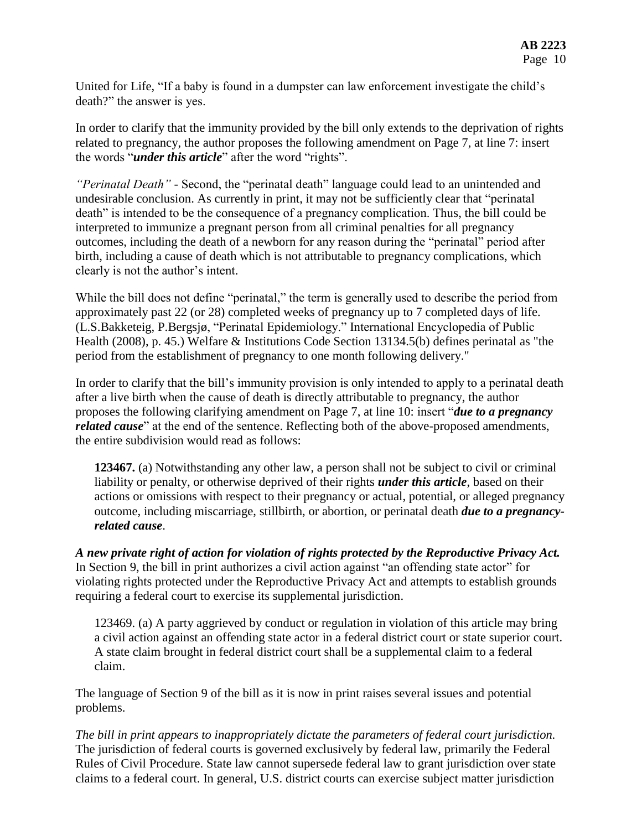United for Life, "If a baby is found in a dumpster can law enforcement investigate the child's death?" the answer is yes.

In order to clarify that the immunity provided by the bill only extends to the deprivation of rights related to pregnancy, the author proposes the following amendment on Page 7, at line 7: insert the words "*under this article*" after the word "rights".

*"Perinatal Death" -* Second, the "perinatal death" language could lead to an unintended and undesirable conclusion. As currently in print, it may not be sufficiently clear that "perinatal death" is intended to be the consequence of a pregnancy complication. Thus, the bill could be interpreted to immunize a pregnant person from all criminal penalties for all pregnancy outcomes, including the death of a newborn for any reason during the "perinatal" period after birth, including a cause of death which is not attributable to pregnancy complications, which clearly is not the author's intent.

While the bill does not define "perinatal," the term is generally used to describe the period from approximately past 22 (or 28) completed weeks of pregnancy up to 7 completed days of life. (L.S.Bakketeig, P.Bergsjø, "Perinatal Epidemiology." International Encyclopedia of Public Health (2008), p. 45.) Welfare & Institutions Code Section 13134.5(b) defines perinatal as "the period from the establishment of pregnancy to one month following delivery."

In order to clarify that the bill's immunity provision is only intended to apply to a perinatal death after a live birth when the cause of death is directly attributable to pregnancy, the author proposes the following clarifying amendment on Page 7, at line 10: insert "*due to a pregnancy related cause*" at the end of the sentence. Reflecting both of the above-proposed amendments, the entire subdivision would read as follows:

**123467.** (a) Notwithstanding any other law, a person shall not be subject to civil or criminal liability or penalty, or otherwise deprived of their rights *under this article*, based on their actions or omissions with respect to their pregnancy or actual, potential, or alleged pregnancy outcome, including miscarriage, stillbirth, or abortion, or perinatal death *due to a pregnancyrelated cause*.

*A new private right of action for violation of rights protected by the Reproductive Privacy Act.* In Section 9, the bill in print authorizes a civil action against "an offending state actor" for violating rights protected under the Reproductive Privacy Act and attempts to establish grounds requiring a federal court to exercise its supplemental jurisdiction.

123469. (a) A party aggrieved by conduct or regulation in violation of this article may bring a civil action against an offending state actor in a federal district court or state superior court. A state claim brought in federal district court shall be a supplemental claim to a federal claim.

The language of Section 9 of the bill as it is now in print raises several issues and potential problems.

*The bill in print appears to inappropriately dictate the parameters of federal court jurisdiction.* The jurisdiction of federal courts is governed exclusively by federal law, primarily the Federal Rules of Civil Procedure. State law cannot supersede federal law to grant jurisdiction over state claims to a federal court. In general, U.S. district courts can exercise subject matter jurisdiction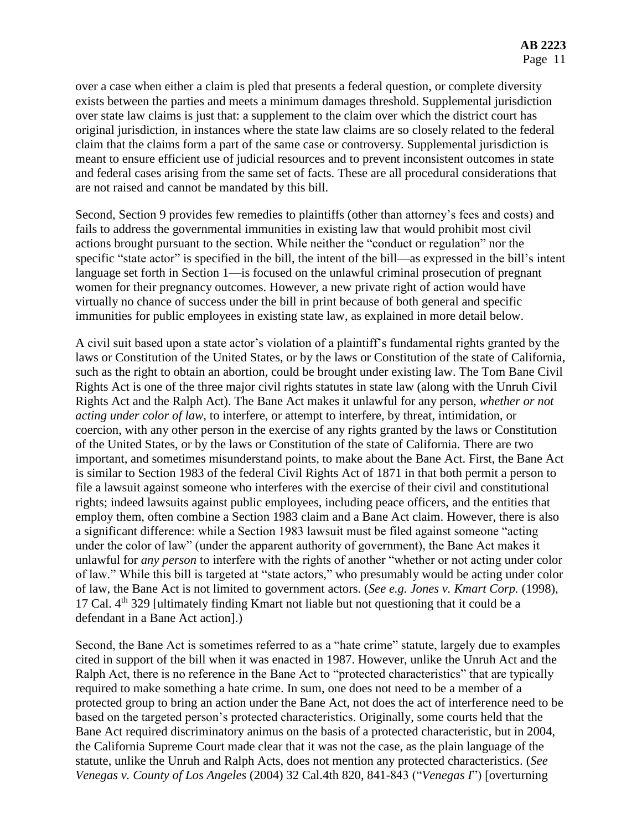over a case when either a claim is pled that presents a federal question, or complete diversity exists between the parties and meets a minimum damages threshold. Supplemental jurisdiction over state law claims is just that: a supplement to the claim over which the district court has original jurisdiction, in instances where the state law claims are so closely related to the federal claim that the claims form a part of the same case or controversy. Supplemental jurisdiction is meant to ensure efficient use of judicial resources and to prevent inconsistent outcomes in state and federal cases arising from the same set of facts. These are all procedural considerations that are not raised and cannot be mandated by this bill.

Second, Section 9 provides few remedies to plaintiffs (other than attorney's fees and costs) and fails to address the governmental immunities in existing law that would prohibit most civil actions brought pursuant to the section. While neither the "conduct or regulation" nor the specific "state actor" is specified in the bill, the intent of the bill—as expressed in the bill's intent language set forth in Section 1—is focused on the unlawful criminal prosecution of pregnant women for their pregnancy outcomes. However, a new private right of action would have virtually no chance of success under the bill in print because of both general and specific immunities for public employees in existing state law, as explained in more detail below.

A civil suit based upon a state actor's violation of a plaintiff's fundamental rights granted by the laws or Constitution of the United States, or by the laws or Constitution of the state of California, such as the right to obtain an abortion, could be brought under existing law. The Tom Bane Civil Rights Act is one of the three major civil rights statutes in state law (along with the Unruh Civil Rights Act and the Ralph Act). The Bane Act makes it unlawful for any person, *whether or not acting under color of law,* to interfere, or attempt to interfere, by threat, intimidation, or coercion, with any other person in the exercise of any rights granted by the laws or Constitution of the United States, or by the laws or Constitution of the state of California. There are two important, and sometimes misunderstand points, to make about the Bane Act. First, the Bane Act is similar to Section 1983 of the federal Civil Rights Act of 1871 in that both permit a person to file a lawsuit against someone who interferes with the exercise of their civil and constitutional rights; indeed lawsuits against public employees, including peace officers, and the entities that employ them, often combine a Section 1983 claim and a Bane Act claim. However, there is also a significant difference: while a Section 1983 lawsuit must be filed against someone "acting under the color of law" (under the apparent authority of government), the Bane Act makes it unlawful for *any person* to interfere with the rights of another "whether or not acting under color of law." While this bill is targeted at "state actors," who presumably would be acting under color of law, the Bane Act is not limited to government actors. (*See e.g. Jones v. Kmart Corp.* (1998), 17 Cal.  $4<sup>th</sup>$  329 [ultimately finding Kmart not liable but not questioning that it could be a defendant in a Bane Act action].)

Second, the Bane Act is sometimes referred to as a "hate crime" statute, largely due to examples cited in support of the bill when it was enacted in 1987. However, unlike the Unruh Act and the Ralph Act, there is no reference in the Bane Act to "protected characteristics" that are typically required to make something a hate crime. In sum, one does not need to be a member of a protected group to bring an action under the Bane Act, not does the act of interference need to be based on the targeted person's protected characteristics. Originally, some courts held that the Bane Act required discriminatory animus on the basis of a protected characteristic, but in 2004, the California Supreme Court made clear that it was not the case, as the plain language of the statute, unlike the Unruh and Ralph Acts, does not mention any protected characteristics. (*See Venegas v. County of Los Angeles* (2004) 32 Cal.4th 820, 841-843 ("*Venegas I*") [overturning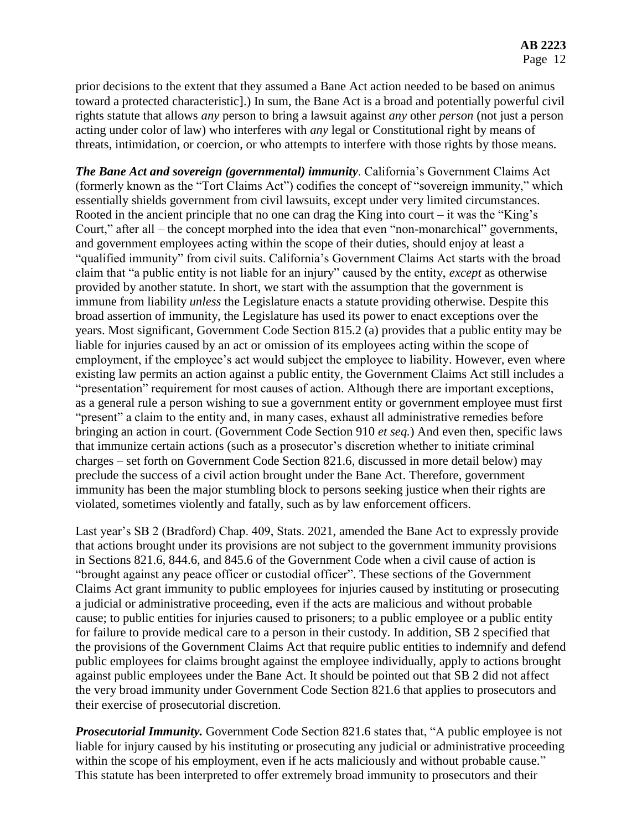prior decisions to the extent that they assumed a Bane Act action needed to be based on animus toward a protected characteristic].) In sum, the Bane Act is a broad and potentially powerful civil rights statute that allows *any* person to bring a lawsuit against *any* other *person* (not just a person acting under color of law) who interferes with *any* legal or Constitutional right by means of threats, intimidation, or coercion, or who attempts to interfere with those rights by those means.

*The Bane Act and sovereign (governmental) immunity*. California's Government Claims Act (formerly known as the "Tort Claims Act") codifies the concept of "sovereign immunity," which essentially shields government from civil lawsuits, except under very limited circumstances. Rooted in the ancient principle that no one can drag the King into court – it was the "King's Court," after all – the concept morphed into the idea that even "non-monarchical" governments, and government employees acting within the scope of their duties, should enjoy at least a "qualified immunity" from civil suits. California's Government Claims Act starts with the broad claim that "a public entity is not liable for an injury" caused by the entity, *except* as otherwise provided by another statute. In short, we start with the assumption that the government is immune from liability *unless* the Legislature enacts a statute providing otherwise. Despite this broad assertion of immunity, the Legislature has used its power to enact exceptions over the years. Most significant, Government Code Section 815.2 (a) provides that a public entity may be liable for injuries caused by an act or omission of its employees acting within the scope of employment, if the employee's act would subject the employee to liability. However, even where existing law permits an action against a public entity, the Government Claims Act still includes a "presentation" requirement for most causes of action. Although there are important exceptions, as a general rule a person wishing to sue a government entity or government employee must first "present" a claim to the entity and, in many cases, exhaust all administrative remedies before bringing an action in court. (Government Code Section 910 *et seq.*) And even then, specific laws that immunize certain actions (such as a prosecutor's discretion whether to initiate criminal charges – set forth on Government Code Section 821.6, discussed in more detail below) may preclude the success of a civil action brought under the Bane Act. Therefore, government immunity has been the major stumbling block to persons seeking justice when their rights are violated, sometimes violently and fatally, such as by law enforcement officers.

Last year's SB 2 (Bradford) Chap. 409, Stats. 2021, amended the Bane Act to expressly provide that actions brought under its provisions are not subject to the government immunity provisions in Sections 821.6, 844.6, and 845.6 of the Government Code when a civil cause of action is "brought against any peace officer or custodial officer". These sections of the Government Claims Act grant immunity to public employees for injuries caused by instituting or prosecuting a judicial or administrative proceeding, even if the acts are malicious and without probable cause; to public entities for injuries caused to prisoners; to a public employee or a public entity for failure to provide medical care to a person in their custody. In addition, SB 2 specified that the provisions of the Government Claims Act that require public entities to indemnify and defend public employees for claims brought against the employee individually, apply to actions brought against public employees under the Bane Act. It should be pointed out that SB 2 did not affect the very broad immunity under Government Code Section 821.6 that applies to prosecutors and their exercise of prosecutorial discretion.

*Prosecutorial Immunity.* Government Code Section 821.6 states that, "A public employee is not liable for injury caused by his instituting or prosecuting any judicial or administrative proceeding within the scope of his employment, even if he acts maliciously and without probable cause." This statute has been interpreted to offer extremely broad immunity to prosecutors and their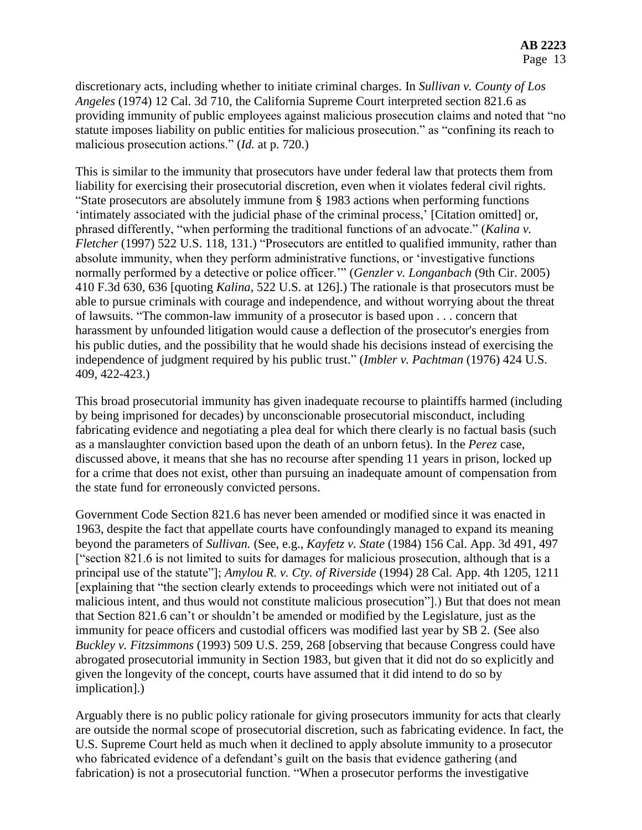discretionary acts, including whether to initiate criminal charges. In *Sullivan v. County of Los Angeles* (1974) 12 Cal. 3d 710, the California Supreme Court interpreted section 821.6 as providing immunity of public employees against malicious prosecution claims and noted that "no statute imposes liability on public entities for malicious prosecution." as "confining its reach to malicious prosecution actions." (*Id.* at p. 720.)

This is similar to the immunity that prosecutors have under federal law that protects them from liability for exercising their prosecutorial discretion, even when it violates federal civil rights. "State prosecutors are absolutely immune from § 1983 actions when performing functions 'intimately associated with the judicial phase of the criminal process,' [Citation omitted] or, phrased differently, "when performing the traditional functions of an advocate." (*Kalina v. Fletcher* (1997) 522 U.S. 118, 131.) "Prosecutors are entitled to qualified immunity, rather than absolute immunity, when they perform administrative functions, or 'investigative functions normally performed by a detective or police officer.'" (*Genzler v. Longanbach* (9th Cir. 2005) 410 F.3d 630, 636 [quoting *Kalina*, 522 U.S. at 126].) The rationale is that prosecutors must be able to pursue criminals with courage and independence, and without worrying about the threat of lawsuits. "The common-law immunity of a prosecutor is based upon . . . concern that harassment by unfounded litigation would cause a deflection of the prosecutor's energies from his public duties, and the possibility that he would shade his decisions instead of exercising the independence of judgment required by his public trust." (*Imbler v. Pachtman* (1976) 424 U.S. 409, 422-423.)

This broad prosecutorial immunity has given inadequate recourse to plaintiffs harmed (including by being imprisoned for decades) by unconscionable prosecutorial misconduct, including fabricating evidence and negotiating a plea deal for which there clearly is no factual basis (such as a manslaughter conviction based upon the death of an unborn fetus). In the *Perez* case, discussed above, it means that she has no recourse after spending 11 years in prison, locked up for a crime that does not exist, other than pursuing an inadequate amount of compensation from the state fund for erroneously convicted persons.

Government Code Section 821.6 has never been amended or modified since it was enacted in 1963, despite the fact that appellate courts have confoundingly managed to expand its meaning beyond the parameters of *Sullivan.* (See, e.g., *Kayfetz v. State* (1984) 156 Cal. App. 3d 491, 497 ["section 821.6 is not limited to suits for damages for malicious prosecution, although that is a principal use of the statute"]; *Amylou R. v. Cty. of Riverside* (1994) 28 Cal. App. 4th 1205, 1211 [explaining that "the section clearly extends to proceedings which were not initiated out of a malicious intent, and thus would not constitute malicious prosecution"].) But that does not mean that Section 821.6 can't or shouldn't be amended or modified by the Legislature, just as the immunity for peace officers and custodial officers was modified last year by SB 2. (See also *Buckley v. Fitzsimmons* (1993) 509 U.S. 259, 268 [observing that because Congress could have abrogated prosecutorial immunity in Section 1983, but given that it did not do so explicitly and given the longevity of the concept, courts have assumed that it did intend to do so by implication].)

Arguably there is no public policy rationale for giving prosecutors immunity for acts that clearly are outside the normal scope of prosecutorial discretion, such as fabricating evidence. In fact, the U.S. Supreme Court held as much when it declined to apply absolute immunity to a prosecutor who fabricated evidence of a defendant's guilt on the basis that evidence gathering (and fabrication) is not a prosecutorial function. "When a prosecutor performs the investigative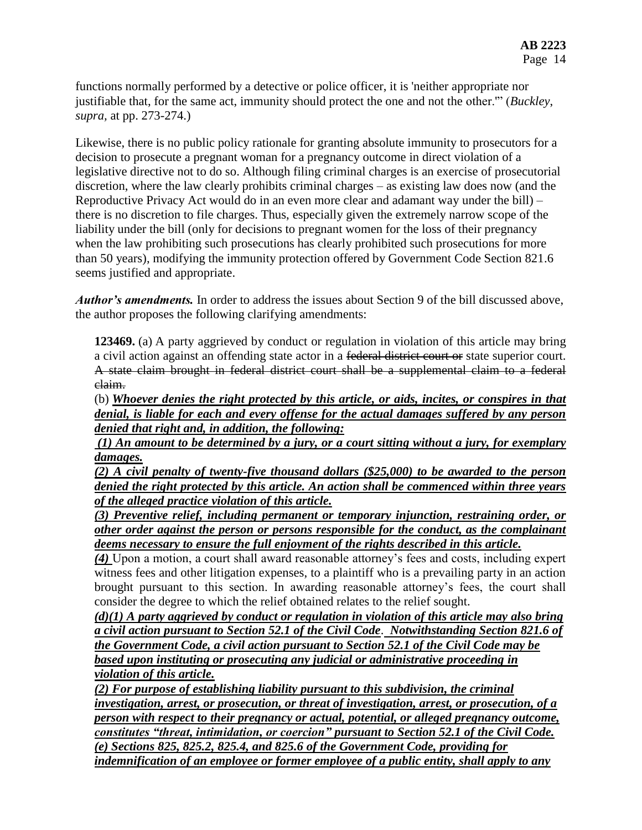functions normally performed by a detective or police officer, it is 'neither appropriate nor justifiable that, for the same act, immunity should protect the one and not the other.'" (*Buckley*, *supra,* at pp. 273-274.)

Likewise, there is no public policy rationale for granting absolute immunity to prosecutors for a decision to prosecute a pregnant woman for a pregnancy outcome in direct violation of a legislative directive not to do so. Although filing criminal charges is an exercise of prosecutorial discretion, where the law clearly prohibits criminal charges – as existing law does now (and the Reproductive Privacy Act would do in an even more clear and adamant way under the bill) – there is no discretion to file charges. Thus, especially given the extremely narrow scope of the liability under the bill (only for decisions to pregnant women for the loss of their pregnancy when the law prohibiting such prosecutions has clearly prohibited such prosecutions for more than 50 years), modifying the immunity protection offered by Government Code Section 821.6 seems justified and appropriate.

*Author's amendments.* In order to address the issues about Section 9 of the bill discussed above, the author proposes the following clarifying amendments:

**123469.** (a) A party aggrieved by conduct or regulation in violation of this article may bring a civil action against an offending state actor in a federal district court or state superior court. A state claim brought in federal district court shall be a supplemental claim to a federal claim.

(b) *Whoever denies the right protected by this article, or aids, incites, or conspires in that denial, is liable for each and every offense for the actual damages suffered by any person denied that right and, in addition, the following:*

*(1) An amount to be determined by a jury, or a court sitting without a jury, for exemplary damages.*

*(2) A civil penalty of twenty-five thousand dollars (\$25,000) to be awarded to the person denied the right protected by this article. An action shall be commenced within three years of the alleged practice violation of this article.*

*(3) Preventive relief, including permanent or temporary injunction, restraining order, or other order against the person or persons responsible for the conduct, as the complainant deems necessary to ensure the full enjoyment of the rights described in this article.*

*(4)* Upon a motion, a court shall award reasonable attorney's fees and costs, including expert witness fees and other litigation expenses, to a plaintiff who is a prevailing party in an action brought pursuant to this section. In awarding reasonable attorney's fees, the court shall consider the degree to which the relief obtained relates to the relief sought.

*(d)(1) A party aggrieved by conduct or regulation in violation of this article may also bring a civil action pursuant to Section 52.1 of the Civil Code*. *Notwithstanding Section 821.6 of the Government Code, a civil action pursuant to Section 52.1 of the Civil Code may be based upon instituting or prosecuting any judicial or administrative proceeding in violation of this article.*

*(2) For purpose of establishing liability pursuant to this subdivision, the criminal investigation, arrest, or prosecution, or threat of investigation, arrest, or prosecution, of a person with respect to their pregnancy or actual, potential, or alleged pregnancy outcome, constitutes "threat, intimidation, or coercion" pursuant to Section 52.1 of the Civil Code. (e) Sections 825, 825.2, 825.4, and 825.6 of the Government Code, providing for indemnification of an employee or former employee of a public entity, shall apply to any*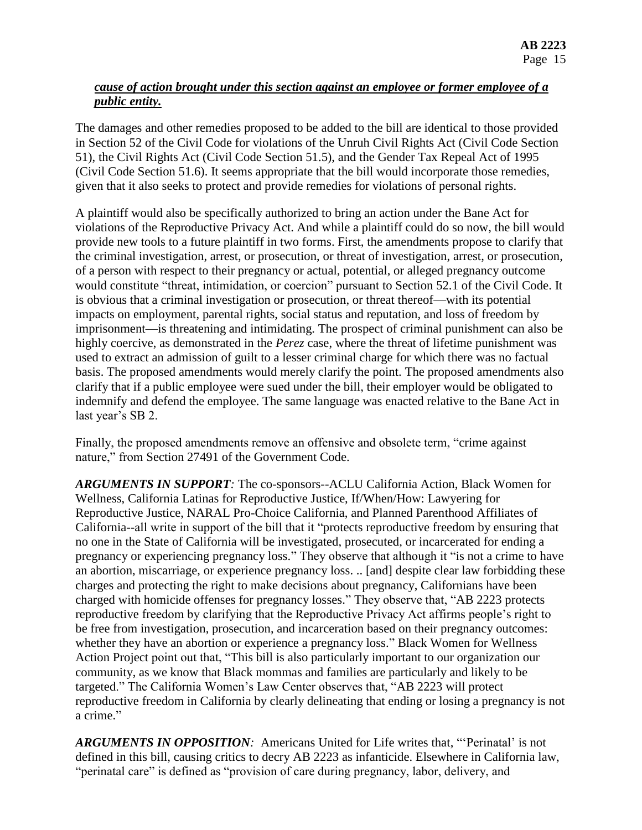# *cause of action brought under this section against an employee or former employee of a public entity.*

The damages and other remedies proposed to be added to the bill are identical to those provided in Section 52 of the Civil Code for violations of the Unruh Civil Rights Act (Civil Code Section 51), the Civil Rights Act (Civil Code Section 51.5), and the Gender Tax Repeal Act of 1995 (Civil Code Section 51.6). It seems appropriate that the bill would incorporate those remedies, given that it also seeks to protect and provide remedies for violations of personal rights.

A plaintiff would also be specifically authorized to bring an action under the Bane Act for violations of the Reproductive Privacy Act. And while a plaintiff could do so now, the bill would provide new tools to a future plaintiff in two forms. First, the amendments propose to clarify that the criminal investigation, arrest, or prosecution, or threat of investigation, arrest, or prosecution, of a person with respect to their pregnancy or actual, potential, or alleged pregnancy outcome would constitute "threat, intimidation, or coercion" pursuant to Section 52.1 of the Civil Code. It is obvious that a criminal investigation or prosecution, or threat thereof—with its potential impacts on employment, parental rights, social status and reputation, and loss of freedom by imprisonment—is threatening and intimidating. The prospect of criminal punishment can also be highly coercive, as demonstrated in the *Perez* case, where the threat of lifetime punishment was used to extract an admission of guilt to a lesser criminal charge for which there was no factual basis. The proposed amendments would merely clarify the point. The proposed amendments also clarify that if a public employee were sued under the bill, their employer would be obligated to indemnify and defend the employee. The same language was enacted relative to the Bane Act in last year's SB 2.

Finally, the proposed amendments remove an offensive and obsolete term, "crime against nature," from Section 27491 of the Government Code.

*ARGUMENTS IN SUPPORT:* The co-sponsors--ACLU California Action, Black Women for Wellness, California Latinas for Reproductive Justice, If/When/How: Lawyering for Reproductive Justice, NARAL Pro-Choice California, and Planned Parenthood Affiliates of California--all write in support of the bill that it "protects reproductive freedom by ensuring that no one in the State of California will be investigated, prosecuted, or incarcerated for ending a pregnancy or experiencing pregnancy loss." They observe that although it "is not a crime to have an abortion, miscarriage, or experience pregnancy loss. .. [and] despite clear law forbidding these charges and protecting the right to make decisions about pregnancy, Californians have been charged with homicide offenses for pregnancy losses." They observe that, "AB 2223 protects reproductive freedom by clarifying that the Reproductive Privacy Act affirms people's right to be free from investigation, prosecution, and incarceration based on their pregnancy outcomes: whether they have an abortion or experience a pregnancy loss." Black Women for Wellness Action Project point out that, "This bill is also particularly important to our organization our community, as we know that Black mommas and families are particularly and likely to be targeted." The California Women's Law Center observes that, "AB 2223 will protect reproductive freedom in California by clearly delineating that ending or losing a pregnancy is not a crime."

*ARGUMENTS IN OPPOSITION:* Americans United for Life writes that, "'Perinatal' is not defined in this bill, causing critics to decry AB 2223 as infanticide. Elsewhere in California law, "perinatal care" is defined as "provision of care during pregnancy, labor, delivery, and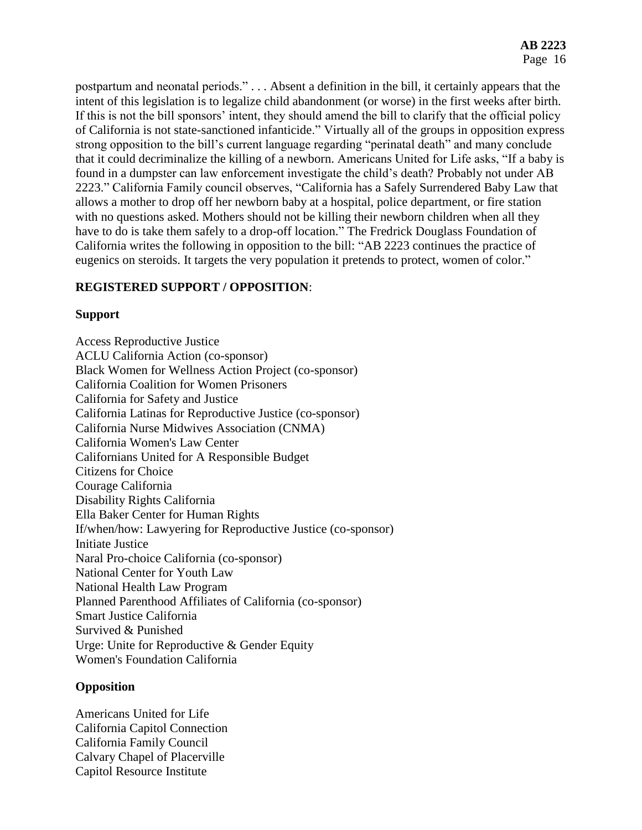postpartum and neonatal periods." . . . Absent a definition in the bill, it certainly appears that the intent of this legislation is to legalize child abandonment (or worse) in the first weeks after birth. If this is not the bill sponsors' intent, they should amend the bill to clarify that the official policy of California is not state-sanctioned infanticide." Virtually all of the groups in opposition express strong opposition to the bill's current language regarding "perinatal death" and many conclude that it could decriminalize the killing of a newborn. Americans United for Life asks, "If a baby is found in a dumpster can law enforcement investigate the child's death? Probably not under AB 2223." California Family council observes, "California has a Safely Surrendered Baby Law that allows a mother to drop off her newborn baby at a hospital, police department, or fire station with no questions asked. Mothers should not be killing their newborn children when all they have to do is take them safely to a drop-off location." The Fredrick Douglass Foundation of California writes the following in opposition to the bill: "AB 2223 continues the practice of eugenics on steroids. It targets the very population it pretends to protect, women of color."

## **REGISTERED SUPPORT / OPPOSITION**:

### **Support**

Access Reproductive Justice ACLU California Action (co-sponsor) Black Women for Wellness Action Project (co-sponsor) California Coalition for Women Prisoners California for Safety and Justice California Latinas for Reproductive Justice (co-sponsor) California Nurse Midwives Association (CNMA) California Women's Law Center Californians United for A Responsible Budget Citizens for Choice Courage California Disability Rights California Ella Baker Center for Human Rights If/when/how: Lawyering for Reproductive Justice (co-sponsor) Initiate Justice Naral Pro-choice California (co-sponsor) National Center for Youth Law National Health Law Program Planned Parenthood Affiliates of California (co-sponsor) Smart Justice California Survived & Punished Urge: Unite for Reproductive & Gender Equity Women's Foundation California

### **Opposition**

Americans United for Life California Capitol Connection California Family Council Calvary Chapel of Placerville Capitol Resource Institute